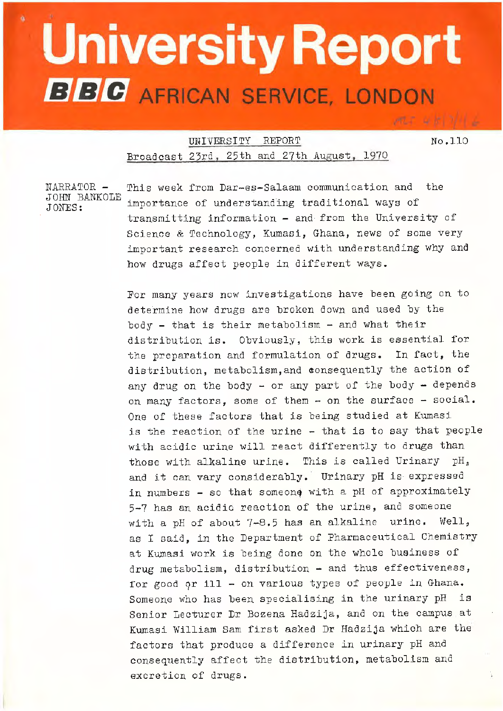## **University Report BBC** AFRICAN SERVICE, LONDON

\_\_\_\_\_ ... ,.. \_\_

UNIVERSITY REPORT No.110 Broadcast 23rd, 25th and 27th August, 1970

NARRATOR - This week from Dar-es-Salaam communication and the JOHN BANKOLE importance of understanding traditional ways of transmitting information - and from the University of Science & Technology, Kumasi, Ghana, news of some very important research concerned with understanding why and how drugs affect people in different ways.

> For many years now investigations have been going on to determine how drugs are broken down and used by the  $body - that is their metabolism - and what their$ distribution is. Obviously, this work is essential for the preparation and formulation of drugs. In fact, the distribution, metabolism, and consequently the action of any drug on the body - or any part of the body - depends on many factors, some of them - on the surface - social. One of these factors that is being studied at Kumasi is the reaction of the urine - that is to say that people with acidic urine will react differently to drugs than those with alkaline urine. This is called Urinary *pH,*  and it can vary considerably. Urinary pH is expressed in numbers - so that someone with a pH of approximately 5-7 has an acidic reaction of the urine, and someone with a pH of about 7-8.5 has an alkaline urine. Well, as I said, in the Department of Pharmaceutical Chemistry at Kumasi work is being done on the whole business of drug metabolism, distribution - and thus effectiveness, for good or ill - on various types of people in Ghana. Someone who has been specialising in the urinary pH is Senior Lecturer Dr Bozena Hadzija, and on the campus at Kumasi William Sam first asked Dr Hadzija which are the factors that produce a difference in urinary pH and consequently affect the distribution, metabolism and excretion of drugs.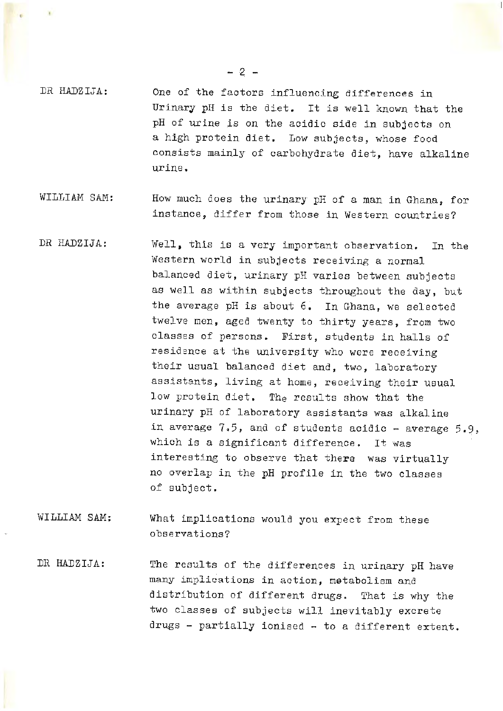DR HADZIJA: One of the factors influencing differences in Urinary pH is the diet. It is well known that the pH of urine is on the acidic side in subjects on a high protein diet. Low subjects, whose food consists mainly of carbohydrate diet, have alkaline urine.

- WILLIAM SAM:: How much does the urinary *pH* of a man in Ghana, for instance, differ from those in Western countries?
- DR HADZIJA: Well, this is a very important observation. In the Western world in subjects receiving a normal balanced diet, urinary pH varies between subjects as well as within subjects throughout the day, but the average pH is about 6. In Ghana, we selected twelve men, aged twenty to thirty years, from two classes of persons. First, students in halls of residence at the university who were receiving their usual balanced diet and, two, laboratory assistants, living at home, receiving their usual low protein diet. The results show that the urinary pH of laboratory assistants was alkaline in average 7.5, and of students acidic - average  $5.9$ , which is a significant difference. It was interesting to observe that there was virtually no overlap in the pH profile in the two classes of subject.
- WILLIAM SAM; What implications woula you expect from these observations?
- DR HADZIJA: The results of the differences in urinary pH have many implications in action, metabolism and distribution of different drugs. That is why the two classes of subjects will inevitably excrete drugs - partially ionised - to a different extent.

- 2 -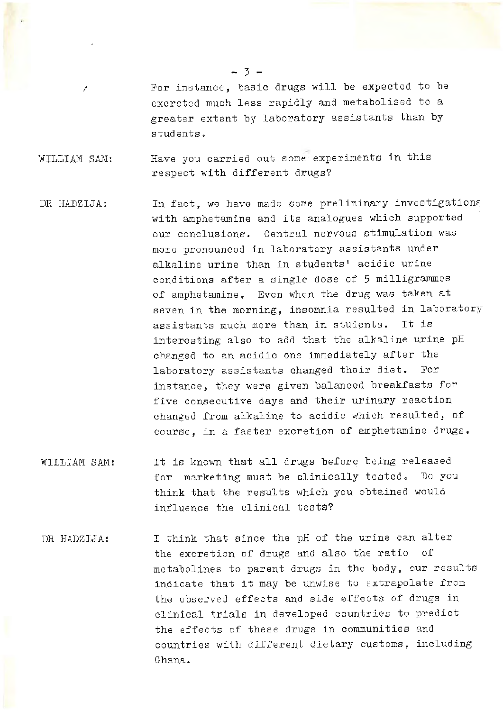For instance, basic drugs will be expected to be excreted much less rapidly and metabolised to a greater extent by laboratory assistants than by students.

WILLIAM SAM: Have you carried out some experiments in this respect with different drugs?

*I* 

- DR HADZIJA: In fact, we have made some preliminary investigations with amphetamine and its analogues which supported our conclusions. Central nervous stimulation was more pronounced in laboratory assistants under alkaline urine than in students' acidic urine conditions after a single dose of 5 milligrammes of amphetamine. Even when the drug was taken at seven in the morning, insomnia resulted in laboratory assistants much more than in students. It is interesting also to add that the alkaline urine pH changed to an acidic one immediately after the laboratory assistants changed their diet. For instance, they were given balanced breakfasts for five consecutive days and their urinary reaction changed from alkaline to acidic which resulted, of course, in a faster excretion of amphetamine drugs.
- WILLIAM SAM: It is known that all drugs before being released for marketing must be clinically tested. Do you think that the results which you obtained would influence the clinical tests?
- DR HADZIJA: I think that since the pH of the urine can alter the excretion of drugs and also the ratio of metabolines to parent drugs in the body, our results indicate that it may be unwise to extrapolate from the observed effects and side effects of drugs in clinical trials in developed countries to predict the effects of these drugs in communities and countries with different dietary customs, including Ghana.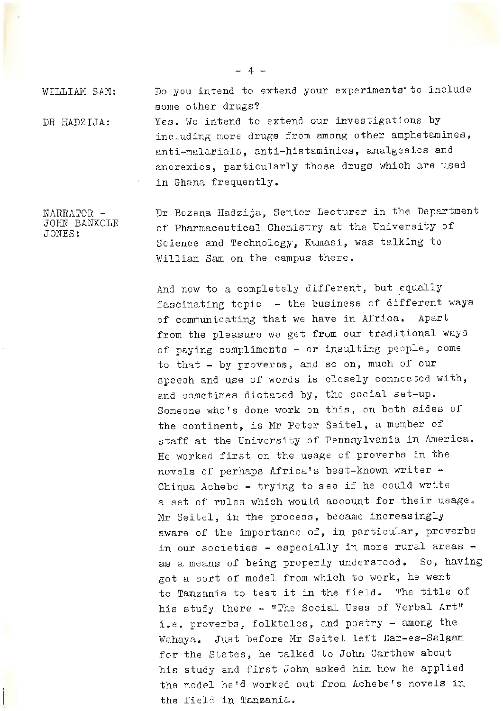WILLIAM SAM: DR HADZIJA: Do you intend to extend your experiments' to include some other drugs? Yes. We intend to extend our investigations by including more drugs from among other amphetamines, anti-malarials, anti-histaminics, analgesics ana anorexics, particularly those drugs which are used in Ghana frequently.

NARRATOR - JOHN BANKOLE JONES: Dr Bozena Hadzija, Senior Lecturer in the Department of Pharmaceutical Chemistry at the University of Science and Technology, Kumasi, was talking to William Sam on the campus there.

> And now to a completely different, but equally fascinating topic - the business of different ways of communicating that we have in Africa. Apart from the pleasure we get from our traditional ways of paying compliments - or insulting people, come to that - by proverbs, and so on, much of our speech and use of words is closely connected with, and sometimes dictated by, the social set-up. Someone who's done work on this, on both sides of the continent, is Mr Peter Seitel, a member of staff at the University of Pennsylvania in America. He worked first on the usage of proverbs in the novels of perhaps Africa's best-known writer -Chinua Achebe - trying to see if he could write a set of rules which would account for their usage. Mr Seitel, in the process, became increasingly aware of the importance of, in particular, proverbs in our societies - especially in more rural areas as a means of being properly understood. So, having got a sort of model from which to work, he went to Tanzania to test it in the field. The title of his study there - "The Social Uses of Verbal Art" i.e. proverbs, folktales, and poetry - among the Wahaya. Just before Mr Seitel left Dar-es-Salaam for the States, he talked to John Carthew about his study and first John asked him how he applied the model he'd worked out from Achebe's novels in the fiel3 in Tanzania.

- 4 -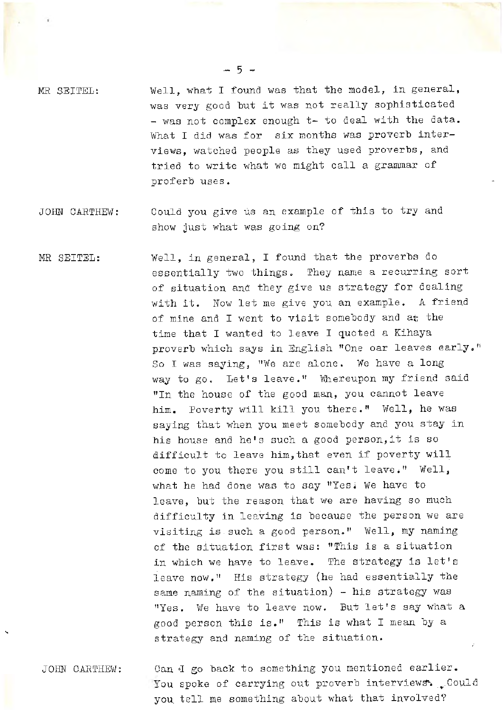- $MR$  SEITEL: Well, what I found was that the model, in general, was very good but it was not really sophisticated  $-$  was not complex enough  $t-$  to deal with the data. What I did was for six months was proverb interviews, watched people as they used proverbs, and tried to write what we might call a grammar of proferb uses.
- JOHN CARTHEW: Could you give us an example of this to try and show just what was going on?
- MR SEITEL: Well, in general, I found that the proverbs do essentially two things. They name a recurring sort of situation and they give us strategy for dealing with it. Now let me give you an example. A friend of mine and I went to visit somebody and at the time that I wanted to leave I quoted a Kihaya proverb which says in English "One oar leaves early." So I was saying, "We are alone. We have a long way to go. Let's leave." Whereupon my friend said "In the house of the good man, you cannot leave him. Poverty will kill you there." Well, he was saying that when you meet somebody and you stay in his house and he's such a good person,it is so difficult to leave him,that even if poverty will come to you there you still can't leave." Well, what he had done was to say "Yes; We have to leave, but the reason that we are having so much difficulty in leaving is because the person we are visiting is such a good person." Well, my naming of the situation first was: "This is a situation in which we have to leave. The strategy is let's leave now," His strategy (he had essentially the same naming of the situation) - his strategy was "Yes. We have to leave now. But let's say what a good person this is." This is what I mean by a strategy and naming of the situation.
- JOHN CARTHEW: Can I go back to something you mentioned earlier. You spoke of carrying out proverb interviews. Could you tell me something about what that involved?

"

- 5 -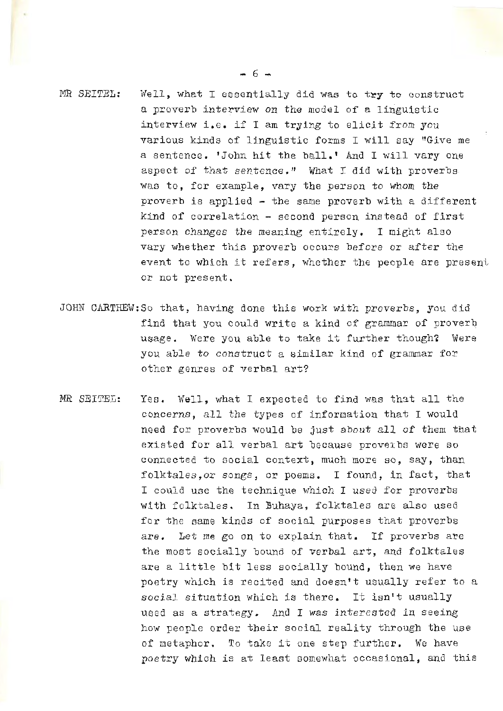MR SEITEL: Well, what I essentially did was to try to construct a proverb interview on the model of a linguistic interview i.e. if I am trying to elicit from you various kinds of linguistic forms I will say "Give me a sentence. 'John hit the ball.' And I will vary one aspect of that sentence." What I did with proverbs was to, for example, vary the person to whom the proverb is applied  $-$  the same proverb with a different kind of correlation - second person instead of first person changes the meaning entirely. I might also vary whether this proverb occurs before or after the event to which it refers, whether the people are present or not present.

- JOHN CARTHEW:So that, having done this work with proverbs, you did find that you could write a kind of grammar of proverb usage. Were you able to take it further though? Were you able to construct a similar kind of grammar for other genres of verbal art?
- MR SEITEL: Yes. Well, what I expected to find was that all the concerns, all the types of information that I would need for proverbs would be just about all of them that existed for all verbal art because proveibs were so connected to social context, much more so, say, than folktales, or songs, or poems. I found, in fact, that I could use the technique which I used for proverbs with folktales. In Buhaya, folktales are also used for the same kinds of social purposes that proverbs are. Let me go on to explain that. If proverbs are the most socially bound of verbal art, and folktales are a little bit less socially bound, then we have poetry which is recited and doesn't usually refer to a social situation which is there. It isn't usually used as a strategy. And I was interested in seeing how people order their social reality through the use of metaphor. To take it one step further. We have poetry which is at least somewhat occasional, and this

- 6 -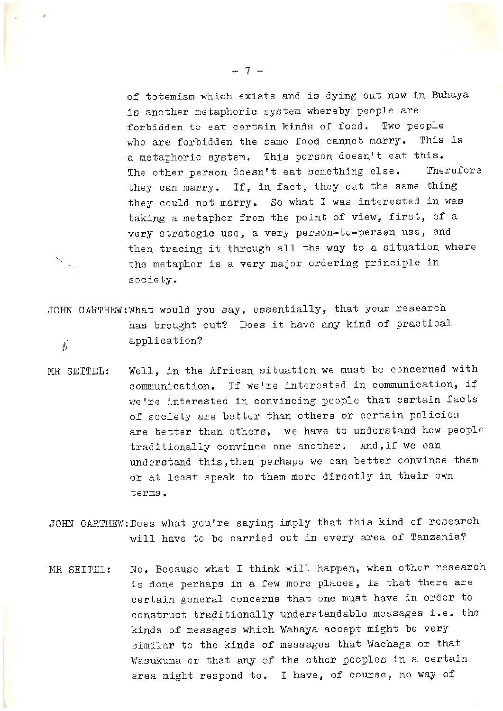of totemism which exists and is dying out now in Buhaya is another metaphoric system whereby people are forbidden to eat certain kinds of food. Two people who are forbidden the same food cannot marry. This is a metaphoric system. This person doesn't eat this. The other person doesn't eat something else. Therefore they can marry. If, in fact, they eat the same thing they could not marry. So what I was interested in was taking a metaphor from the point of view, first, of a very strategic use, a very person-to-person use, and then tracing it through all the way to a situation where the metaphor is a very major ordering principle in society.

JOHN CARTHEW:What would you say, essentially, that your research has brought out? Does it have any kind of practical  $\star$ , application?

 $\mathcal{A}_{\mu}$ 

- MR SEITEL: Well, in the African situation we must be concerned with communication. If we're interested in communication, if we're interested in convincing people that certain facts of society are better than others or certain policies are better than others, we have to understand how people traditionaliy convince one another. And,if we can understand this,then perhaps we can better convince them or at least speak to them more directly in their own terms.
- JOHN CARTHEW:Does what you're saying imply that this kind of research will have to be carried out in every area of Tanzania?
- MR SEITEL: No. Because what I think will happen, when other research is done perhaps in a few more places, is that there are certain general concerns that one must have in order to construct traditionally understandable messages i.e. the kinds of messages which Wahaya accept might be very similar to the kinds of messages that Wachaga or that Wasukuma or that any of the other peoples in a certain area might respond to. I have, of course, no way of

 $-.7 -$